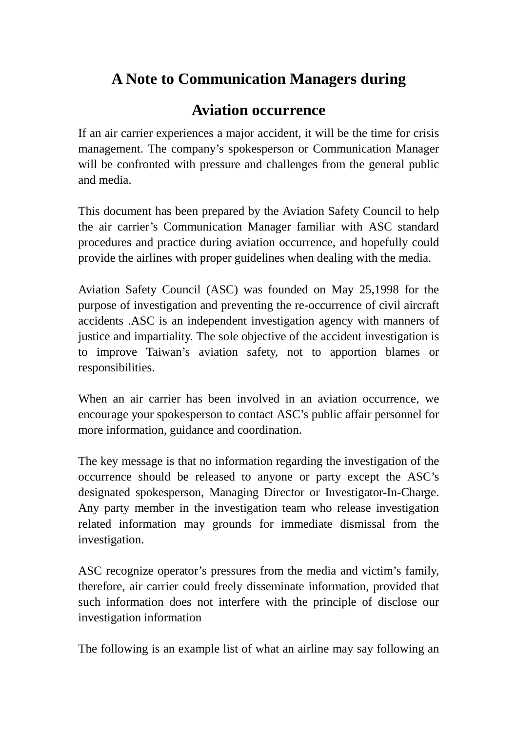## **A Note to Communication Managers during**

## **Aviation occurrence**

If an air carrier experiences a major accident, it will be the time for crisis management. The company's spokesperson or Communication Manager will be confronted with pressure and challenges from the general public and media.

This document has been prepared by the Aviation Safety Council to help the air carrier's Communication Manager familiar with ASC standard procedures and practice during aviation occurrence, and hopefully could provide the airlines with proper guidelines when dealing with the media.

Aviation Safety Council (ASC) was founded on May 25,1998 for the purpose of investigation and preventing the re-occurrence of civil aircraft accidents .ASC is an independent investigation agency with manners of justice and impartiality. The sole objective of the accident investigation is to improve Taiwan's aviation safety, not to apportion blames or responsibilities.

When an air carrier has been involved in an aviation occurrence, we encourage your spokesperson to contact ASC's public affair personnel for more information, guidance and coordination.

The key message is that no information regarding the investigation of the occurrence should be released to anyone or party except the ASC's designated spokesperson, Managing Director or Investigator-In-Charge. Any party member in the investigation team who release investigation related information may grounds for immediate dismissal from the investigation.

ASC recognize operator's pressures from the media and victim's family, therefore, air carrier could freely disseminate information, provided that such information does not interfere with the principle of disclose our investigation information

The following is an example list of what an airline may say following an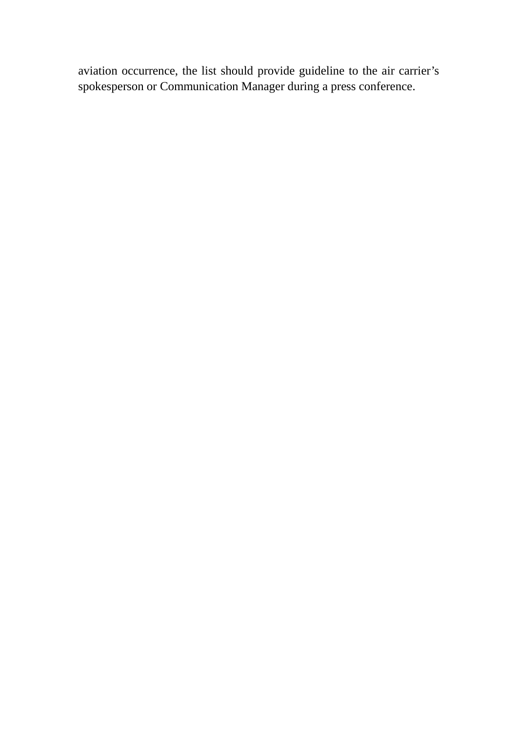aviation occurrence, the list should provide guideline to the air carrier's spokesperson or Communication Manager during a press conference.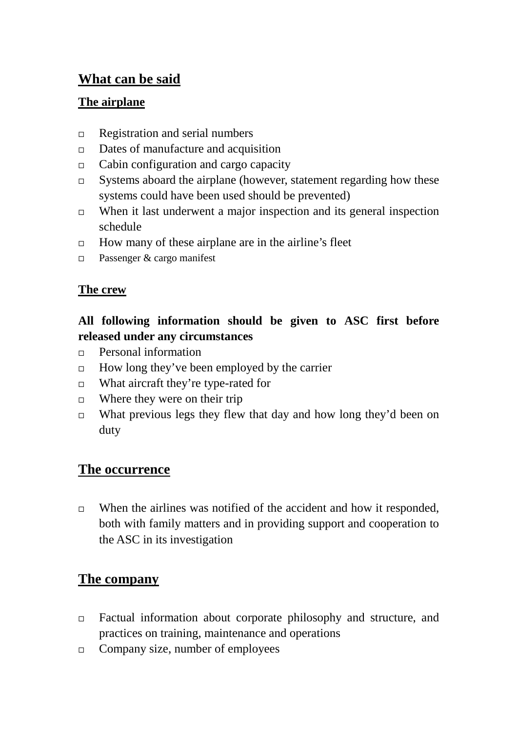## **What can be said**

#### **The airplane**

- $\Box$  Registration and serial numbers
- $\Box$  Dates of manufacture and acquisition
- Cabin configuration and cargo capacity
- $\Box$  Systems aboard the airplane (however, statement regarding how these systems could have been used should be prevented)
- $\Box$  When it last underwent a major inspection and its general inspection schedule
- $\Box$  How many of these airplane are in the airline's fleet
- □ Passenger & cargo manifest

#### **The crew**

#### **All following information should be given to ASC first before released under any circumstances**

- **Personal information**
- $\Box$  How long they've been employed by the carrier
- $\Box$  What aircraft they're type-rated for
- $\Box$  Where they were on their trip
- $\Box$  What previous legs they flew that day and how long they'd been on duty

## **The occurrence**

 $\Box$  When the airlines was notified of the accident and how it responded, both with family matters and in providing support and cooperation to the ASC in its investigation

## **The company**

- Factual information about corporate philosophy and structure, and practices on training, maintenance and operations
- $\Box$  Company size, number of employees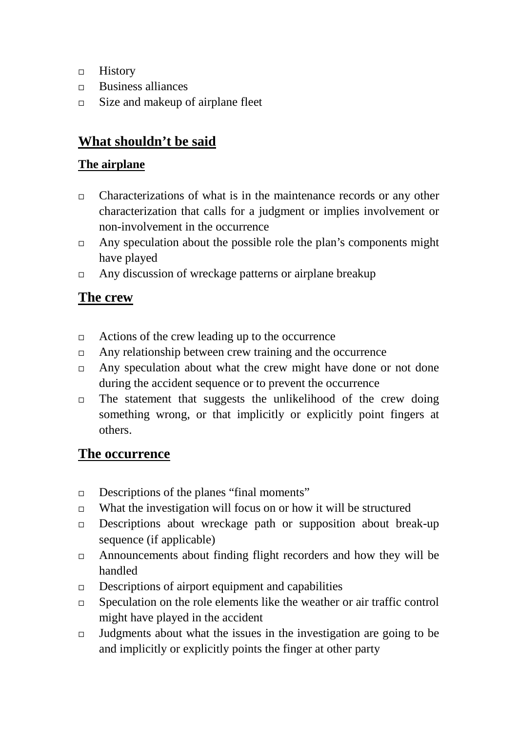- $\Box$  History
- Business alliances
- $\Box$  Size and makeup of airplane fleet

## **What shouldn't be said**

#### **The airplane**

- $\Box$  Characterizations of what is in the maintenance records or any other characterization that calls for a judgment or implies involvement or non-involvement in the occurrence
- $\Box$  Any speculation about the possible role the plan's components might have played
- $\Box$  Any discussion of wreckage patterns or airplane breakup

#### **The crew**

- $\Box$  Actions of the crew leading up to the occurrence
- $\Box$  Any relationship between crew training and the occurrence
- $\Box$  Any speculation about what the crew might have done or not done during the accident sequence or to prevent the occurrence
- $\Box$  The statement that suggests the unlikelihood of the crew doing something wrong, or that implicitly or explicitly point fingers at others.

#### **The occurrence**

- $\Box$  Descriptions of the planes "final moments"
- $\Box$  What the investigation will focus on or how it will be structured
- $\Box$  Descriptions about wreckage path or supposition about break-up sequence (if applicable)
- Announcements about finding flight recorders and how they will be handled
- $\Box$  Descriptions of airport equipment and capabilities
- $\Box$  Speculation on the role elements like the weather or air traffic control might have played in the accident
- $\Box$  Judgments about what the issues in the investigation are going to be and implicitly or explicitly points the finger at other party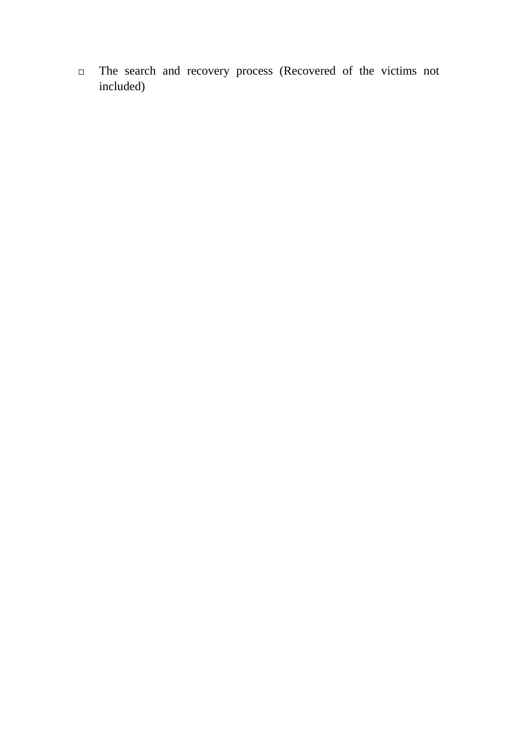The search and recovery process (Recovered of the victims not included)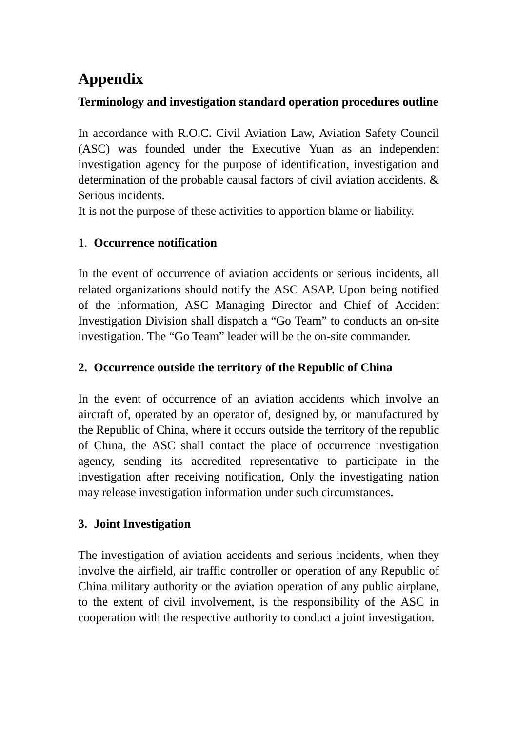# **Appendix**

#### **Terminology and investigation standard operation procedures outline**

In accordance with R.O.C. Civil Aviation Law, Aviation Safety Council (ASC) was founded under the Executive Yuan as an independent investigation agency for the purpose of identification, investigation and determination of the probable causal factors of civil aviation accidents. & Serious incidents.

It is not the purpose of these activities to apportion blame or liability.

#### 1. **Occurrence notification**

In the event of occurrence of aviation accidents or serious incidents, all related organizations should notify the ASC ASAP. Upon being notified of the information, ASC Managing Director and Chief of Accident Investigation Division shall dispatch a "Go Team" to conducts an on-site investigation. The "Go Team" leader will be the on-site commander.

#### **2. Occurrence outside the territory of the Republic of China**

In the event of occurrence of an aviation accidents which involve an aircraft of, operated by an operator of, designed by, or manufactured by the Republic of China, where it occurs outside the territory of the republic of China, the ASC shall contact the place of occurrence investigation agency, sending its accredited representative to participate in the investigation after receiving notification, Only the investigating nation may release investigation information under such circumstances.

#### **3. Joint Investigation**

The investigation of aviation accidents and serious incidents, when they involve the airfield, air traffic controller or operation of any Republic of China military authority or the aviation operation of any public airplane, to the extent of civil involvement, is the responsibility of the ASC in cooperation with the respective authority to conduct a joint investigation.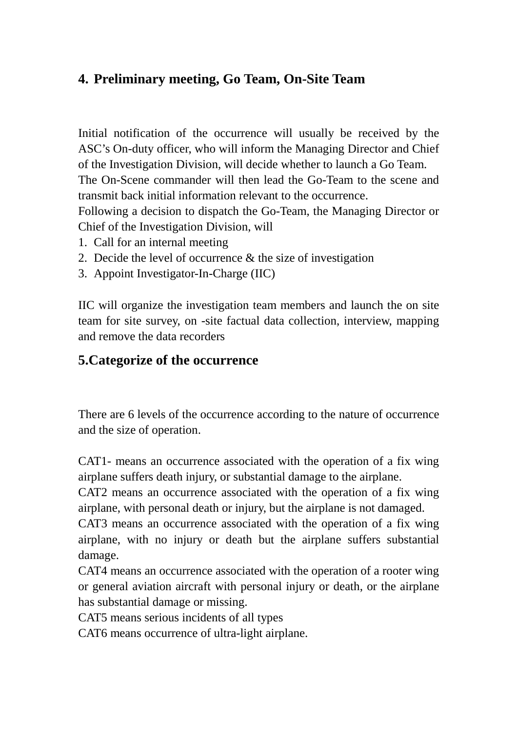## **4. Preliminary meeting, Go Team, On-Site Team**

Initial notification of the occurrence will usually be received by the ASC's On-duty officer, who will inform the Managing Director and Chief of the Investigation Division, will decide whether to launch a Go Team. The On-Scene commander will then lead the Go-Team to the scene and transmit back initial information relevant to the occurrence.

Following a decision to dispatch the Go-Team, the Managing Director or Chief of the Investigation Division, will

- 1. Call for an internal meeting
- 2. Decide the level of occurrence & the size of investigation
- 3. Appoint Investigator-In-Charge (IIC)

IIC will organize the investigation team members and launch the on site team for site survey, on -site factual data collection, interview, mapping and remove the data recorders

## **5.Categorize of the occurrence**

There are 6 levels of the occurrence according to the nature of occurrence and the size of operation.

CAT1- means an occurrence associated with the operation of a fix wing airplane suffers death injury, or substantial damage to the airplane.

CAT2 means an occurrence associated with the operation of a fix wing airplane, with personal death or injury, but the airplane is not damaged.

CAT3 means an occurrence associated with the operation of a fix wing airplane, with no injury or death but the airplane suffers substantial damage.

CAT4 means an occurrence associated with the operation of a rooter wing or general aviation aircraft with personal injury or death, or the airplane has substantial damage or missing.

CAT5 means serious incidents of all types

CAT6 means occurrence of ultra-light airplane.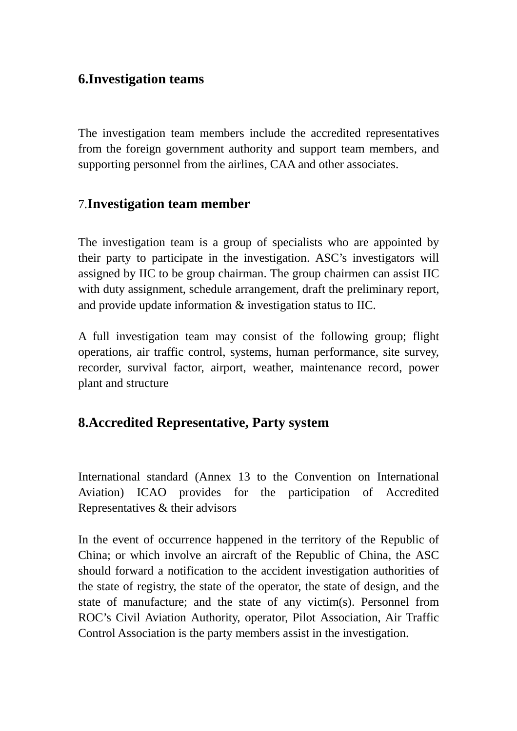#### **6.Investigation teams**

The investigation team members include the accredited representatives from the foreign government authority and support team members, and supporting personnel from the airlines, CAA and other associates.

### 7.**Investigation team member**

The investigation team is a group of specialists who are appointed by their party to participate in the investigation. ASC's investigators will assigned by IIC to be group chairman. The group chairmen can assist IIC with duty assignment, schedule arrangement, draft the preliminary report, and provide update information & investigation status to IIC.

A full investigation team may consist of the following group; flight operations, air traffic control, systems, human performance, site survey, recorder, survival factor, airport, weather, maintenance record, power plant and structure

#### **8.Accredited Representative, Party system**

International standard (Annex 13 to the Convention on International Aviation) ICAO provides for the participation of Accredited Representatives & their advisors

In the event of occurrence happened in the territory of the Republic of China; or which involve an aircraft of the Republic of China, the ASC should forward a notification to the accident investigation authorities of the state of registry, the state of the operator, the state of design, and the state of manufacture; and the state of any victim(s). Personnel from ROC's Civil Aviation Authority, operator, Pilot Association, Air Traffic Control Association is the party members assist in the investigation.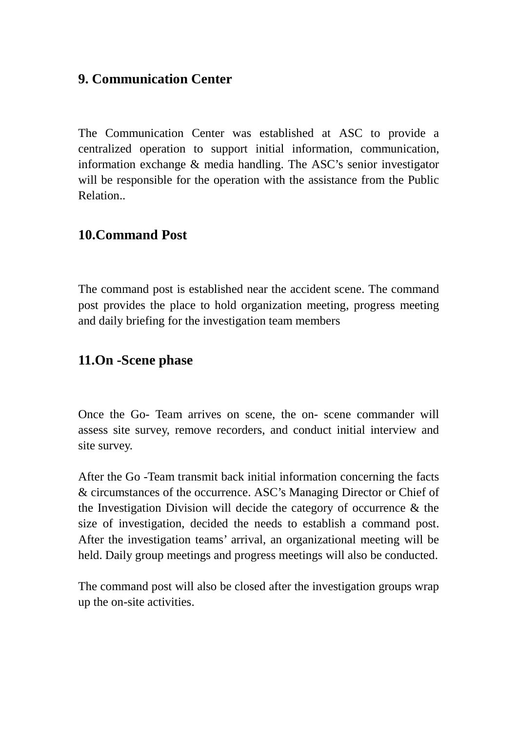## **9. Communication Center**

The Communication Center was established at ASC to provide a centralized operation to support initial information, communication, information exchange & media handling. The ASC's senior investigator will be responsible for the operation with the assistance from the Public Relation..

#### **10.Command Post**

The command post is established near the accident scene. The command post provides the place to hold organization meeting, progress meeting and daily briefing for the investigation team members

#### **11.On -Scene phase**

Once the Go- Team arrives on scene, the on- scene commander will assess site survey, remove recorders, and conduct initial interview and site survey.

After the Go -Team transmit back initial information concerning the facts & circumstances of the occurrence. ASC's Managing Director or Chief of the Investigation Division will decide the category of occurrence & the size of investigation, decided the needs to establish a command post. After the investigation teams' arrival, an organizational meeting will be held. Daily group meetings and progress meetings will also be conducted.

The command post will also be closed after the investigation groups wrap up the on-site activities.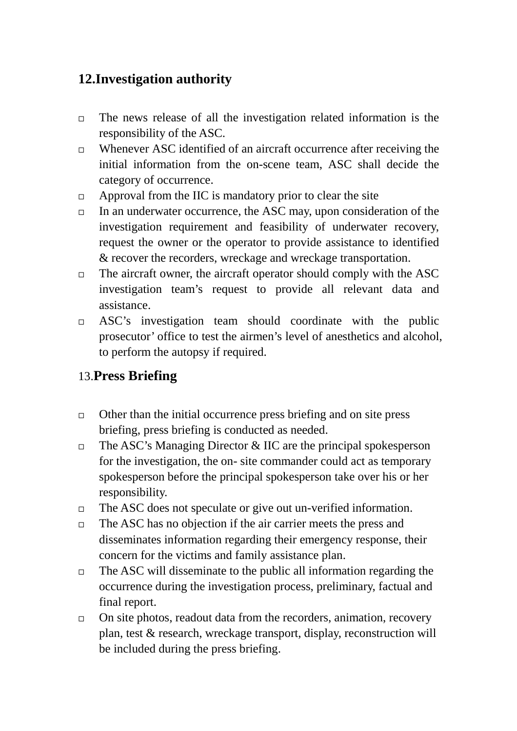## **12.Investigation authority**

- $\Box$  The news release of all the investigation related information is the responsibility of the ASC.
- $\Box$  Whenever ASC identified of an aircraft occurrence after receiving the initial information from the on-scene team, ASC shall decide the category of occurrence.
- $\Box$  Approval from the IIC is mandatory prior to clear the site
- $\Box$  In an underwater occurrence, the ASC may, upon consideration of the investigation requirement and feasibility of underwater recovery, request the owner or the operator to provide assistance to identified & recover the recorders, wreckage and wreckage transportation.
- $\Box$  The aircraft owner, the aircraft operator should comply with the ASC investigation team's request to provide all relevant data and assistance.
- ASC's investigation team should coordinate with the public prosecutor' office to test the airmen's level of anesthetics and alcohol, to perform the autopsy if required.

## 13.**Press Briefing**

- $\Box$  Other than the initial occurrence press briefing and on site press briefing, press briefing is conducted as needed.
- $\Box$  The ASC's Managing Director & IIC are the principal spokesperson for the investigation, the on- site commander could act as temporary spokesperson before the principal spokesperson take over his or her responsibility.
- $\Box$  The ASC does not speculate or give out un-verified information.
- $\Box$  The ASC has no objection if the air carrier meets the press and disseminates information regarding their emergency response, their concern for the victims and family assistance plan.
- $\Box$  The ASC will disseminate to the public all information regarding the occurrence during the investigation process, preliminary, factual and final report.
- $\Box$  On site photos, readout data from the recorders, animation, recovery plan, test & research, wreckage transport, display, reconstruction will be included during the press briefing.